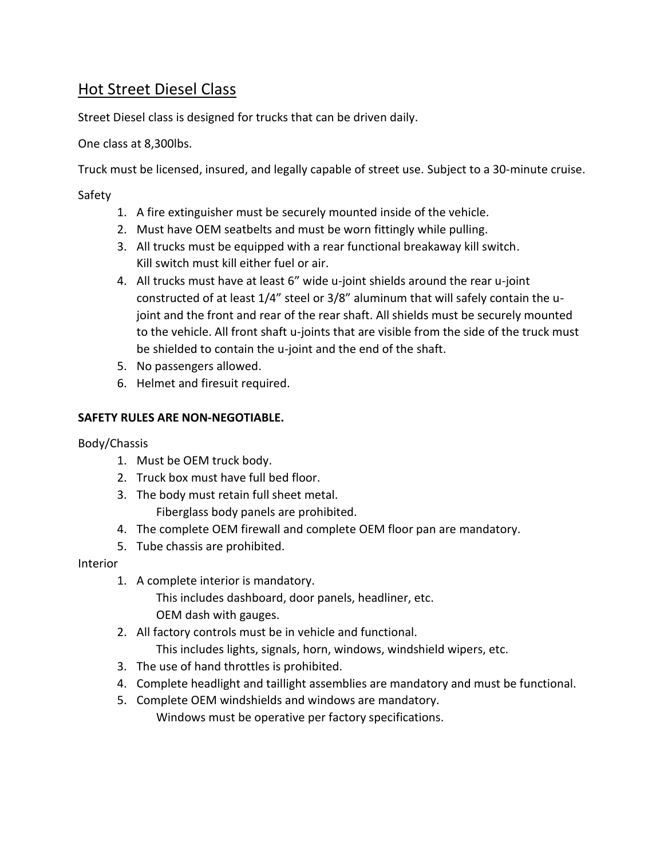# Hot Street Diesel Class

Street Diesel class is designed for trucks that can be driven daily.

One class at 8,300lbs.

Truck must be licensed, insured, and legally capable of street use. Subject to a 30-minute cruise.

Safety

- 1. A fire extinguisher must be securely mounted inside of the vehicle.
- 2. Must have OEM seatbelts and must be worn fittingly while pulling.
- 3. All trucks must be equipped with a rear functional breakaway kill switch. Kill switch must kill either fuel or air.
- 4. All trucks must have at least 6" wide u-joint shields around the rear u-joint constructed of at least 1/4" steel or 3/8" aluminum that will safely contain the ujoint and the front and rear of the rear shaft. All shields must be securely mounted to the vehicle. All front shaft u-joints that are visible from the side of the truck must be shielded to contain the u-joint and the end of the shaft.
- 5. No passengers allowed.
- 6. Helmet and firesuit required.

### **SAFETY RULES ARE NON-NEGOTIABLE.**

Body/Chassis

- 1. Must be OEM truck body.
- 2. Truck box must have full bed floor.
- 3. The body must retain full sheet metal.

Fiberglass body panels are prohibited.

- 4. The complete OEM firewall and complete OEM floor pan are mandatory.
- 5. Tube chassis are prohibited.

#### Interior

1. A complete interior is mandatory.

This includes dashboard, door panels, headliner, etc. OEM dash with gauges.

- 2. All factory controls must be in vehicle and functional. This includes lights, signals, horn, windows, windshield wipers, etc.
- 3. The use of hand throttles is prohibited.
- 4. Complete headlight and taillight assemblies are mandatory and must be functional.
- 5. Complete OEM windshields and windows are mandatory. Windows must be operative per factory specifications.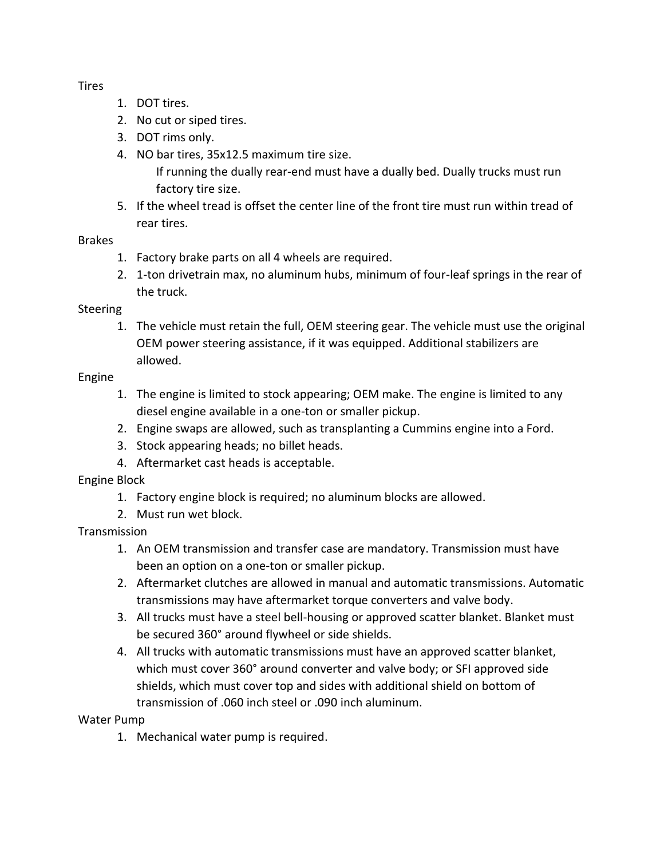**Tires** 

- 1. DOT tires.
- 2. No cut or siped tires.
- 3. DOT rims only.
- 4. NO bar tires, 35x12.5 maximum tire size.

If running the dually rear-end must have a dually bed. Dually trucks must run factory tire size.

5. If the wheel tread is offset the center line of the front tire must run within tread of rear tires.

### Brakes

- 1. Factory brake parts on all 4 wheels are required.
- 2. 1-ton drivetrain max, no aluminum hubs, minimum of four-leaf springs in the rear of the truck.

### Steering

1. The vehicle must retain the full, OEM steering gear. The vehicle must use the original OEM power steering assistance, if it was equipped. Additional stabilizers are allowed.

### Engine

- 1. The engine is limited to stock appearing; OEM make. The engine is limited to any diesel engine available in a one-ton or smaller pickup.
- 2. Engine swaps are allowed, such as transplanting a Cummins engine into a Ford.
- 3. Stock appearing heads; no billet heads.
- 4. Aftermarket cast heads is acceptable.

# Engine Block

- 1. Factory engine block is required; no aluminum blocks are allowed.
- 2. Must run wet block.

# Transmission

- 1. An OEM transmission and transfer case are mandatory. Transmission must have been an option on a one-ton or smaller pickup.
- 2. Aftermarket clutches are allowed in manual and automatic transmissions. Automatic transmissions may have aftermarket torque converters and valve body.
- 3. All trucks must have a steel bell-housing or approved scatter blanket. Blanket must be secured 360° around flywheel or side shields.
- 4. All trucks with automatic transmissions must have an approved scatter blanket, which must cover 360° around converter and valve body; or SFI approved side shields, which must cover top and sides with additional shield on bottom of transmission of .060 inch steel or .090 inch aluminum.

# Water Pump

1. Mechanical water pump is required.